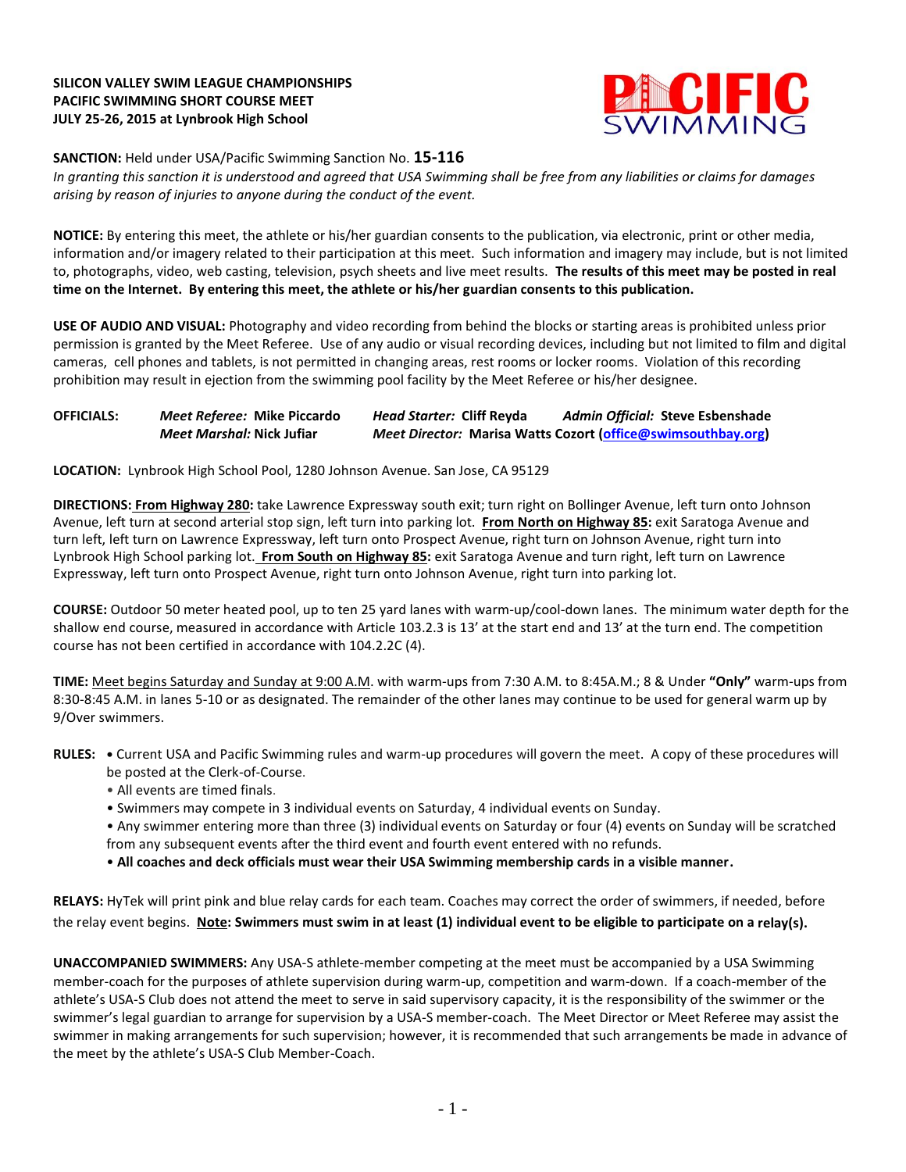# **SILICON VALLEY SWIM LEAGUE CHAMPIONSHIPS PACIFIC SWIMMING SHORT COURSE MEET JULY 25-26, 2015 at Lynbrook High School**



### **SANCTION:** Held under USA/Pacific Swimming Sanction No. **15-116**

*In granting this sanction it is understood and agreed that USA Swimming shall be free from any liabilities or claims for damages arising by reason of injuries to anyone during the conduct of the event.*

**NOTICE:** By entering this meet, the athlete or his/her guardian consents to the publication, via electronic, print or other media, information and/or imagery related to their participation at this meet. Such information and imagery may include, but is not limited to, photographs, video, web casting, television, psych sheets and live meet results. **The results of this meet may be posted in real time on the Internet. By entering this meet, the athlete or his/her guardian consents to this publication.**

**USE OF AUDIO AND VISUAL:** Photography and video recording from behind the blocks or starting areas is prohibited unless prior permission is granted by the Meet Referee. Use of any audio or visual recording devices, including but not limited to film and digital cameras, cell phones and tablets, is not permitted in changing areas, rest rooms or locker rooms. Violation of this recording prohibition may result in ejection from the swimming pool facility by the Meet Referee or his/her designee.

# **OFFICIALS:** *Meet Referee:* **Mike Piccardo** *Head Starter:* **Cliff Reyda** *Admin Official:* **Steve Esbenshade** *Meet Marshal:* **Nick Jufiar** *Meet Director:* **Marisa Watts Cozort [\(office@swimsouthbay.org\)](mailto:office@swimsouthbay.org)**

**LOCATION:** Lynbrook High School Pool, 1280 Johnson Avenue. San Jose, CA 95129

**DIRECTIONS: From Highway 280:** take Lawrence Expressway south exit; turn right on Bollinger Avenue, left turn onto Johnson Avenue, left turn at second arterial stop sign, left turn into parking lot. **From North on Highway 85:** exit Saratoga Avenue and turn left, left turn on Lawrence Expressway, left turn onto Prospect Avenue, right turn on Johnson Avenue, right turn into Lynbrook High School parking lot. **From South on Highway 85:** exit Saratoga Avenue and turn right, left turn on Lawrence Expressway, left turn onto Prospect Avenue, right turn onto Johnson Avenue, right turn into parking lot.

**COURSE:** Outdoor 50 meter heated pool, up to ten 25 yard lanes with warm-up/cool-down lanes. The minimum water depth for the shallow end course, measured in accordance with Article 103.2.3 is 13' at the start end and 13' at the turn end. The competition course has not been certified in accordance with 104.2.2C (4).

**TIME:** Meet begins Saturday and Sunday at 9:00 A.M. with warm-ups from 7:30 A.M. to 8:45A.M.; 8 & Under **"Only"** warm-ups from 8:30-8:45 A.M. in lanes 5-10 or as designated. The remainder of the other lanes may continue to be used for general warm up by 9/Over swimmers.

- **RULES: •** Current USA and Pacific Swimming rules and warm-up procedures will govern the meet. A copy of these procedures will be posted at the Clerk-of-Course.
	- All events are timed finals.
	- Swimmers may compete in 3 individual events on Saturday, 4 individual events on Sunday.

• Any swimmer entering more than three (3) individual events on Saturday or four (4) events on Sunday will be scratched from any subsequent events after the third event and fourth event entered with no refunds.

• **All coaches and deck officials must wear their USA Swimming membership cards in a visible manner.** 

**RELAYS:** HyTek will print pink and blue relay cards for each team. Coaches may correct the order of swimmers, if needed, before the relay event begins. **Note: Swimmers must swim in at least (1) individual event to be eligible to participate on a relay(s).**

**UNACCOMPANIED SWIMMERS:** Any USA-S athlete-member competing at the meet must be accompanied by a USA Swimming member-coach for the purposes of athlete supervision during warm-up, competition and warm-down. If a coach-member of the athlete's USA-S Club does not attend the meet to serve in said supervisory capacity, it is the responsibility of the swimmer or the swimmer's legal guardian to arrange for supervision by a USA-S member-coach. The Meet Director or Meet Referee may assist the swimmer in making arrangements for such supervision; however, it is recommended that such arrangements be made in advance of the meet by the athlete's USA-S Club Member-Coach.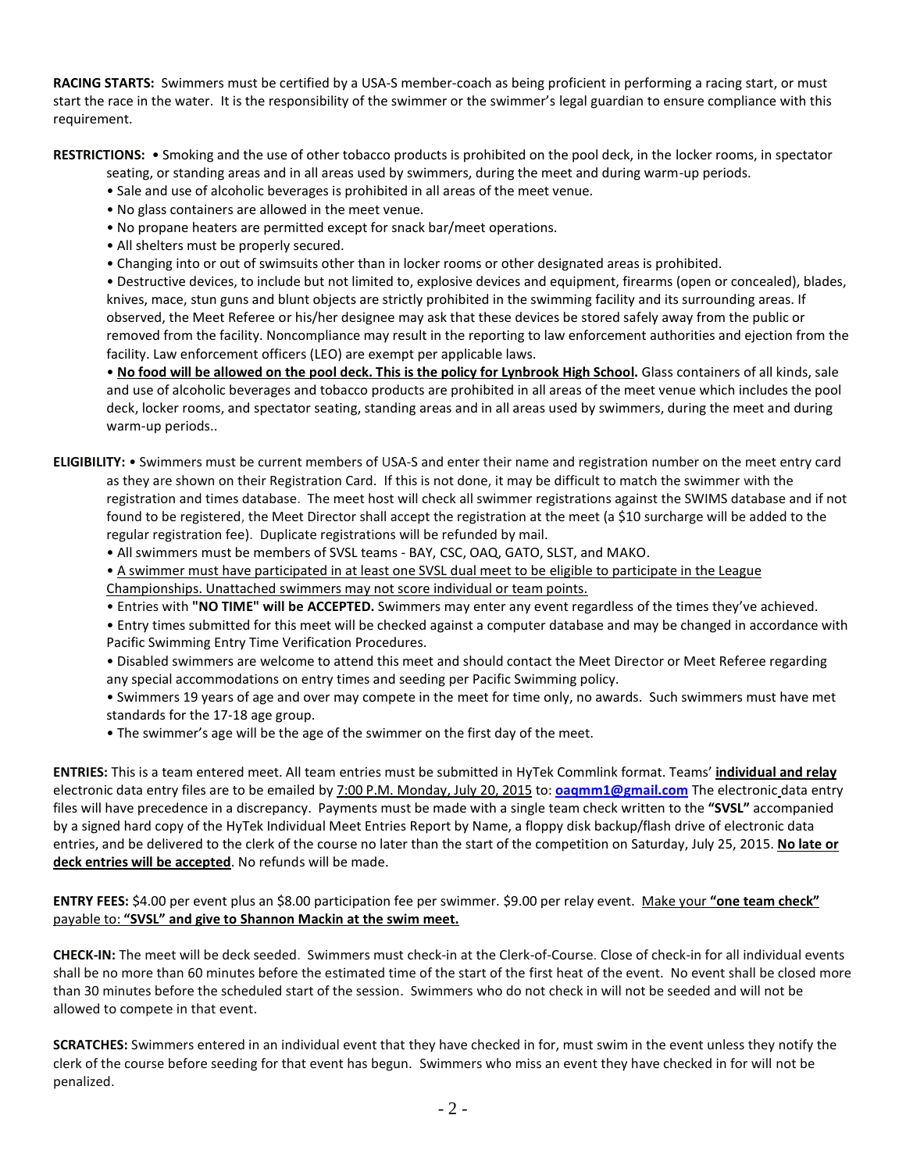**RACING STARTS:** Swimmers must be certified by a USA-S member-coach as being proficient in performing a racing start, or must start the race in the water. It is the responsibility of the swimmer or the swimmer's legal guardian to ensure compliance with this requirement.

**RESTRICTIONS:** • Smoking and the use of other tobacco products is prohibited on the pool deck, in the locker rooms, in spectator

seating, or standing areas and in all areas used by swimmers, during the meet and during warm-up periods.

- Sale and use of alcoholic beverages is prohibited in all areas of the meet venue.
- No glass containers are allowed in the meet venue.
- No propane heaters are permitted except for snack bar/meet operations.
- All shelters must be properly secured.
- Changing into or out of swimsuits other than in locker rooms or other designated areas is prohibited.

• Destructive devices, to include but not limited to, explosive devices and equipment, firearms (open or concealed), blades, knives, mace, stun guns and blunt objects are strictly prohibited in the swimming facility and its surrounding areas. If observed, the Meet Referee or his/her designee may ask that these devices be stored safely away from the public or removed from the facility. Noncompliance may result in the reporting to law enforcement authorities and ejection from the facility. Law enforcement officers (LEO) are exempt per applicable laws.

. No food will be allowed on the pool deck. This is the policy for Lynbrook High School. Glass containers of all kinds, sale and use of alcoholic beverages and tobacco products are prohibited in all areas of the meet venue which includes the pool deck, locker rooms, and spectator seating, standing areas and in all areas used by swimmers, during the meet and during warm-up periods..

**ELIGIBILITY:** • Swimmers must be current members of USA-S and enter their name and registration number on the meet entry card as they are shown on their Registration Card. If this is not done, it may be difficult to match the swimmer with the registration and times database. The meet host will check all swimmer registrations against the SWIMS database and if not found to be registered, the Meet Director shall accept the registration at the meet (a \$10 surcharge will be added to the regular registration fee). Duplicate registrations will be refunded by mail.

- All swimmers must be members of SVSL teams BAY, CSC, OAQ, GATO, SLST, and MAKO.
- A swimmer must have participated in at least one SVSL dual meet to be eligible to participate in the League

Championships. Unattached swimmers may not score individual or team points.

• Entries with **"NO TIME" will be ACCEPTED.** Swimmers may enter any event regardless of the times they've achieved.

• Entry times submitted for this meet will be checked against a computer database and may be changed in accordance with Pacific Swimming Entry Time Verification Procedures.

- Disabled swimmers are welcome to attend this meet and should contact the Meet Director or Meet Referee regarding any special accommodations on entry times and seeding per Pacific Swimming policy.
- Swimmers 19 years of age and over may compete in the meet for time only, no awards. Such swimmers must have met standards for the 17-18 age group.
- The swimmer's age will be the age of the swimmer on the first day of the meet.

**ENTRIES:** This is a team entered meet. All team entries must be submitted in HyTek Commlink format. Teams' **individual and relay** electronic data entry files are to be emailed by 7:00 P.M. Monday, July 20, 2015 to: **[oaqmm1@gmail.com](mailto:oaqmm1@gmail.com)** The electronic data entry files will have precedence in a discrepancy. Payments must be made with a single team check written to the **"SVSL"** accompanied by a signed hard copy of the HyTek Individual Meet Entries Report by Name, a floppy disk backup/flash drive of electronic data entries, and be delivered to the clerk of the course no later than the start of the competition on Saturday, July 25, 2015. **No late or deck entries will be accepted**. No refunds will be made.

**ENTRY FEES:** \$4.00 per event plus an \$8.00 participation fee per swimmer. \$9.00 per relay event. Make your **"one team check"**  payable to: **"SVSL" and give to Shannon Mackin at the swim meet.**

**CHECK-IN:** The meet will be deck seeded. Swimmers must check-in at the Clerk-of-Course. Close of check-in for all individual events shall be no more than 60 minutes before the estimated time of the start of the first heat of the event. No event shall be closed more than 30 minutes before the scheduled start of the session. Swimmers who do not check in will not be seeded and will not be allowed to compete in that event.

**SCRATCHES:** Swimmers entered in an individual event that they have checked in for, must swim in the event unless they notify the clerk of the course before seeding for that event has begun. Swimmers who miss an event they have checked in for will not be penalized.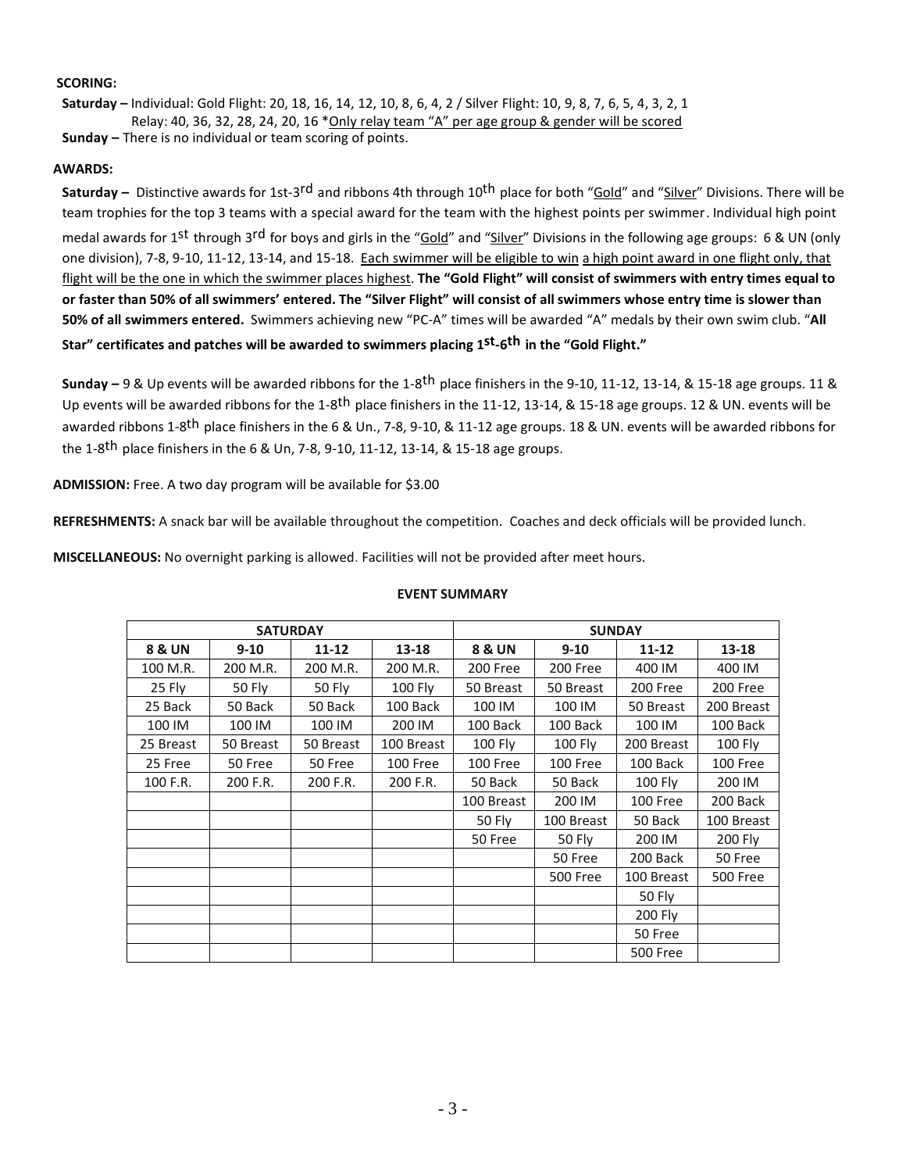### **SCORING:**

**Saturday –** Individual: Gold Flight: 20, 18, 16, 14, 12, 10, 8, 6, 4, 2 / Silver Flight: 10, 9, 8, 7, 6, 5, 4, 3, 2, 1 Relay: 40, 36, 32, 28, 24, 20, 16 \*Only relay team "A" per age group & gender will be scored

**Sunday –** There is no individual or team scoring of points.

# **AWARDS:**

**Saturday** – Distinctive awards for 1st-3<sup>rd</sup> and ribbons 4th through 10<sup>th</sup> place for both "Gold" and "Silver" Divisions. There will be team trophies for the top 3 teams with a special award for the team with the highest points per swimmer. Individual high point medal awards for 1<sup>st</sup> through 3<sup>rd</sup> for boys and girls in the "<u>Gold</u>" and "<u>Silver</u>" Divisions in the following age groups: 6 & UN (only one division), 7-8, 9-10, 11-12, 13-14, and 15-18. Each swimmer will be eligible to win a high point award in one flight only, that flight will be the one in which the swimmer places highest. **The "Gold Flight" will consist of swimmers with entry times equal to** or faster than 50% of all swimmers' entered. The "Silver Flight" will consist of all swimmers whose entry time is slower than **50% of all swimmers entered.** Swimmers achieving new "PC-A" times will be awarded "A" medals by their own swim club. "**All Star" certificates and patches will be awarded to swimmers placing 1st-6th in the "Gold Flight."**

**Sunday –** 9 & Up events will be awarded ribbons for the 1-8th place finishers in the 9-10, 11-12, 13-14, & 15-18 age groups. 11 & Up events will be awarded ribbons for the 1-8<sup>th</sup> place finishers in the 11-12, 13-14, & 15-18 age groups. 12 & UN. events will be awarded ribbons 1-8<sup>th</sup> place finishers in the 6 & Un., 7-8, 9-10, & 11-12 age groups. 18 & UN. events will be awarded ribbons for the 1-8<sup>th</sup> place finishers in the 6 & Un, 7-8, 9-10, 11-12, 13-14, & 15-18 age groups.

**ADMISSION:** Free. A two day program will be available for \$3.00

**REFRESHMENTS:** A snack bar will be available throughout the competition. Coaches and deck officials will be provided lunch.

**MISCELLANEOUS:** No overnight parking is allowed. Facilities will not be provided after meet hours.

|                   | <b>SATURDAY</b> |           |                |                   |                 | <b>SUNDAY</b>   |                 |
|-------------------|-----------------|-----------|----------------|-------------------|-----------------|-----------------|-----------------|
| <b>8 &amp; UN</b> | $9 - 10$        | $11 - 12$ | $13 - 18$      | <b>8 &amp; UN</b> | $9 - 10$        | $11 - 12$       | $13 - 18$       |
| 100 M.R.          | 200 M.R.        | 200 M.R.  | 200 M.R.       | 200 Free          | 200 Free        | 400 IM          | 400 IM          |
| 25 Fly            | 50 Fly          | 50 Fly    | <b>100 Fly</b> | 50 Breast         | 50 Breast       | 200 Free        | 200 Free        |
| 25 Back           | 50 Back         | 50 Back   | 100 Back       | 100 IM            | 100 IM          | 50 Breast       | 200 Breast      |
| 100 IM            | 100 IM          | 100 IM    | 200 IM         | 100 Back          | 100 Back        | 100 IM          | 100 Back        |
| 25 Breast         | 50 Breast       | 50 Breast | 100 Breast     | <b>100 Fly</b>    | <b>100 Fly</b>  | 200 Breast      | <b>100 Fly</b>  |
| 25 Free           | 50 Free         | 50 Free   | 100 Free       | 100 Free          | 100 Free        | 100 Back        | 100 Free        |
| 100 F.R.          | 200 F.R.        | 200 F.R.  | 200 F.R.       | 50 Back           | 50 Back         | 100 Fly         | 200 IM          |
|                   |                 |           |                | 100 Breast        | 200 IM          | 100 Free        | 200 Back        |
|                   |                 |           |                | 50 Fly            | 100 Breast      | 50 Back         | 100 Breast      |
|                   |                 |           |                | 50 Free           | 50 Fly          | 200 IM          | 200 Fly         |
|                   |                 |           |                |                   | 50 Free         | 200 Back        | 50 Free         |
|                   |                 |           |                |                   | <b>500 Free</b> | 100 Breast      | <b>500 Free</b> |
|                   |                 |           |                |                   |                 | 50 Fly          |                 |
|                   |                 |           |                |                   |                 | 200 Fly         |                 |
|                   |                 |           |                |                   |                 | 50 Free         |                 |
|                   |                 |           |                |                   |                 | <b>500 Free</b> |                 |

### **EVENT SUMMARY**